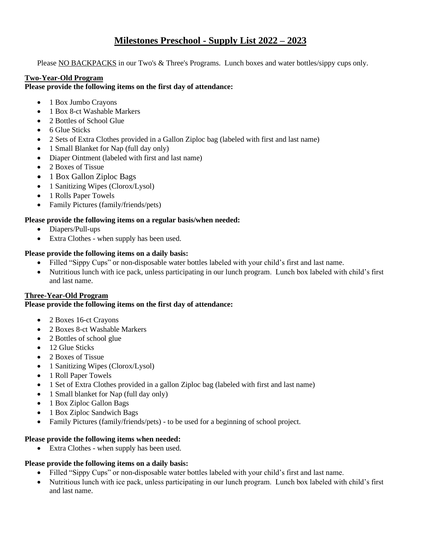# **Milestones Preschool - Supply List 2022 – 2023**

Please NO BACKPACKS in our Two's & Three's Programs. Lunch boxes and water bottles/sippy cups only.

#### **Two-Year-Old Program**

#### **Please provide the following items on the first day of attendance:**

- 1 Box Jumbo Crayons
- 1 Box 8-ct Washable Markers
- 2 Bottles of School Glue
- 6 Glue Sticks
- 2 Sets of Extra Clothes provided in a Gallon Ziploc bag (labeled with first and last name)
- 1 Small Blanket for Nap (full day only)
- Diaper Ointment (labeled with first and last name)
- 2 Boxes of Tissue
- 1 Box Gallon Ziploc Bags
- 1 Sanitizing Wipes (Clorox/Lysol)
- 1 Rolls Paper Towels
- Family Pictures (family/friends/pets)

## **Please provide the following items on a regular basis/when needed:**

- Diapers/Pull-ups
- Extra Clothes when supply has been used.

## **Please provide the following items on a daily basis:**

- Filled "Sippy Cups" or non-disposable water bottles labeled with your child's first and last name.
- Nutritious lunch with ice pack, unless participating in our lunch program. Lunch box labeled with child's first and last name.

## **Three-Year-Old Program**

## **Please provide the following items on the first day of attendance:**

- 2 Boxes 16-ct Crayons
- 2 Boxes 8-ct Washable Markers
- 2 Bottles of school glue
- 12 Glue Sticks
- 2 Boxes of Tissue
- 1 Sanitizing Wipes (Clorox/Lysol)
- 1 Roll Paper Towels
- 1 Set of Extra Clothes provided in a gallon Ziploc bag (labeled with first and last name)
- 1 Small blanket for Nap (full day only)
- 1 Box Ziploc Gallon Bags
- 1 Box Ziploc Sandwich Bags
- Family Pictures (family/friends/pets) to be used for a beginning of school project.

#### **Please provide the following items when needed:**

• Extra Clothes - when supply has been used.

## **Please provide the following items on a daily basis:**

- Filled "Sippy Cups" or non-disposable water bottles labeled with your child's first and last name.
- Nutritious lunch with ice pack, unless participating in our lunch program. Lunch box labeled with child's first and last name.